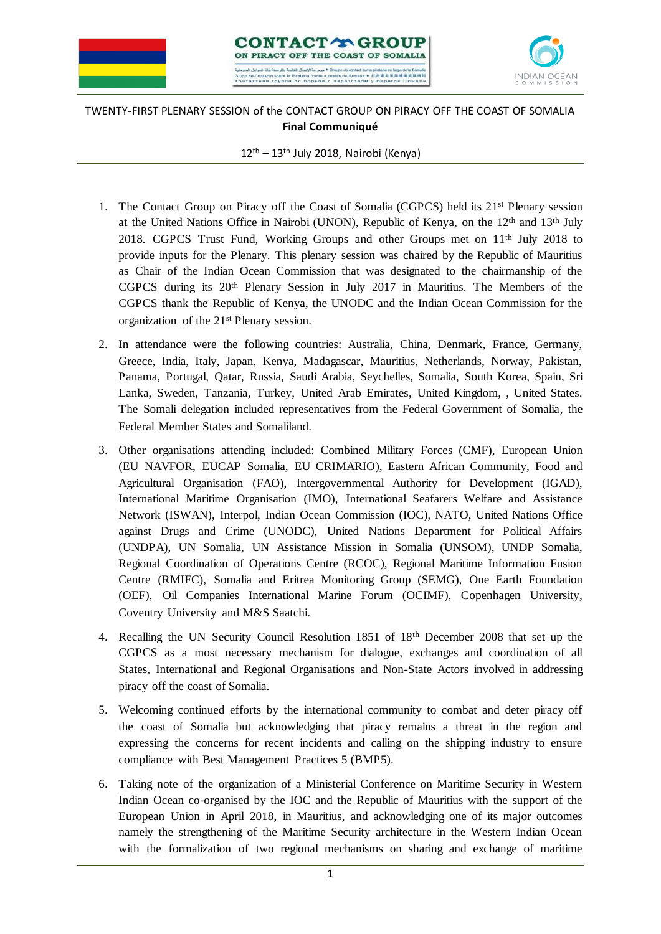





## TWENTY-FIRST PLENARY SESSION of the CONTACT GROUP ON PIRACY OFF THE COAST OF SOMALIA **Final Communiqué**

 $12^{\text{th}} - 13^{\text{th}}$  July 2018, Nairobi (Kenya)

- 1. The Contact Group on Piracy off the Coast of Somalia (CGPCS) held its 21st Plenary session at the United Nations Office in Nairobi (UNON), Republic of Kenya, on the 12<sup>th</sup> and 13<sup>th</sup> July 2018. CGPCS Trust Fund, Working Groups and other Groups met on 11th July 2018 to provide inputs for the Plenary. This plenary session was chaired by the Republic of Mauritius as Chair of the Indian Ocean Commission that was designated to the chairmanship of the CGPCS during its 20th Plenary Session in July 2017 in Mauritius. The Members of the CGPCS thank the Republic of Kenya, the UNODC and the Indian Ocean Commission for the organization of the 21st Plenary session.
- 2. In attendance were the following countries: Australia, China, Denmark, France, Germany, Greece, India, Italy, Japan, Kenya, Madagascar, Mauritius, Netherlands, Norway, Pakistan, Panama, Portugal, Qatar, Russia, Saudi Arabia, Seychelles, Somalia, South Korea, Spain, Sri Lanka, Sweden, Tanzania, Turkey, United Arab Emirates, United Kingdom, , United States. The Somali delegation included representatives from the Federal Government of Somalia, the Federal Member States and Somaliland.
- 3. Other organisations attending included: Combined Military Forces (CMF), European Union (EU NAVFOR, EUCAP Somalia, EU CRIMARIO), Eastern African Community, Food and Agricultural Organisation (FAO), Intergovernmental Authority for Development (IGAD), International Maritime Organisation (IMO), International Seafarers Welfare and Assistance Network (ISWAN), Interpol, Indian Ocean Commission (IOC), NATO, United Nations Office against Drugs and Crime (UNODC), United Nations Department for Political Affairs (UNDPA), UN Somalia, UN Assistance Mission in Somalia (UNSOM), UNDP Somalia, Regional Coordination of Operations Centre (RCOC), Regional Maritime Information Fusion Centre (RMIFC), Somalia and Eritrea Monitoring Group (SEMG), One Earth Foundation (OEF), Oil Companies International Marine Forum (OCIMF), Copenhagen University, Coventry University and M&S Saatchi.
- 4. Recalling the UN Security Council Resolution 1851 of 18th December 2008 that set up the CGPCS as a most necessary mechanism for dialogue, exchanges and coordination of all States, International and Regional Organisations and Non-State Actors involved in addressing piracy off the coast of Somalia.
- 5. Welcoming continued efforts by the international community to combat and deter piracy off the coast of Somalia but acknowledging that piracy remains a threat in the region and expressing the concerns for recent incidents and calling on the shipping industry to ensure compliance with Best Management Practices 5 (BMP5).
- 6. Taking note of the organization of a Ministerial Conference on Maritime Security in Western Indian Ocean co-organised by the IOC and the Republic of Mauritius with the support of the European Union in April 2018, in Mauritius, and acknowledging one of its major outcomes namely the strengthening of the Maritime Security architecture in the Western Indian Ocean with the formalization of two regional mechanisms on sharing and exchange of maritime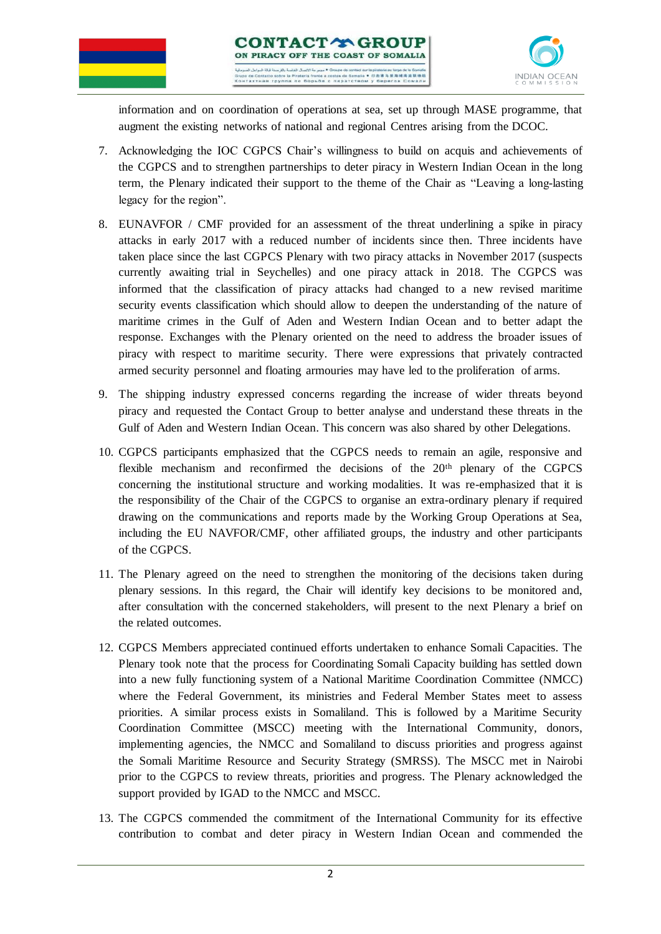





information and on coordination of operations at sea, set up through MASE programme, that augment the existing networks of national and regional Centres arising from the DCOC.

- 7. Acknowledging the IOC CGPCS Chair's willingness to build on acquis and achievements of the CGPCS and to strengthen partnerships to deter piracy in Western Indian Ocean in the long term, the Plenary indicated their support to the theme of the Chair as "Leaving a long-lasting legacy for the region".
- 8. EUNAVFOR / CMF provided for an assessment of the threat underlining a spike in piracy attacks in early 2017 with a reduced number of incidents since then. Three incidents have taken place since the last CGPCS Plenary with two piracy attacks in November 2017 (suspects currently awaiting trial in Seychelles) and one piracy attack in 2018. The CGPCS was informed that the classification of piracy attacks had changed to a new revised maritime security events classification which should allow to deepen the understanding of the nature of maritime crimes in the Gulf of Aden and Western Indian Ocean and to better adapt the response. Exchanges with the Plenary oriented on the need to address the broader issues of piracy with respect to maritime security. There were expressions that privately contracted armed security personnel and floating armouries may have led to the proliferation of arms.
- 9. The shipping industry expressed concerns regarding the increase of wider threats beyond piracy and requested the Contact Group to better analyse and understand these threats in the Gulf of Aden and Western Indian Ocean. This concern was also shared by other Delegations.
- 10. CGPCS participants emphasized that the CGPCS needs to remain an agile, responsive and flexible mechanism and reconfirmed the decisions of the  $20<sup>th</sup>$  plenary of the CGPCS concerning the institutional structure and working modalities. It was re-emphasized that it is the responsibility of the Chair of the CGPCS to organise an extra-ordinary plenary if required drawing on the communications and reports made by the Working Group Operations at Sea, including the EU NAVFOR/CMF, other affiliated groups, the industry and other participants of the CGPCS.
- 11. The Plenary agreed on the need to strengthen the monitoring of the decisions taken during plenary sessions. In this regard, the Chair will identify key decisions to be monitored and, after consultation with the concerned stakeholders, will present to the next Plenary a brief on the related outcomes.
- 12. CGPCS Members appreciated continued efforts undertaken to enhance Somali Capacities. The Plenary took note that the process for Coordinating Somali Capacity building has settled down into a new fully functioning system of a National Maritime Coordination Committee (NMCC) where the Federal Government, its ministries and Federal Member States meet to assess priorities. A similar process exists in Somaliland. This is followed by a Maritime Security Coordination Committee (MSCC) meeting with the International Community, donors, implementing agencies, the NMCC and Somaliland to discuss priorities and progress against the Somali Maritime Resource and Security Strategy (SMRSS). The MSCC met in Nairobi prior to the CGPCS to review threats, priorities and progress. The Plenary acknowledged the support provided by IGAD to the NMCC and MSCC.
- 13. The CGPCS commended the commitment of the International Community for its effective contribution to combat and deter piracy in Western Indian Ocean and commended the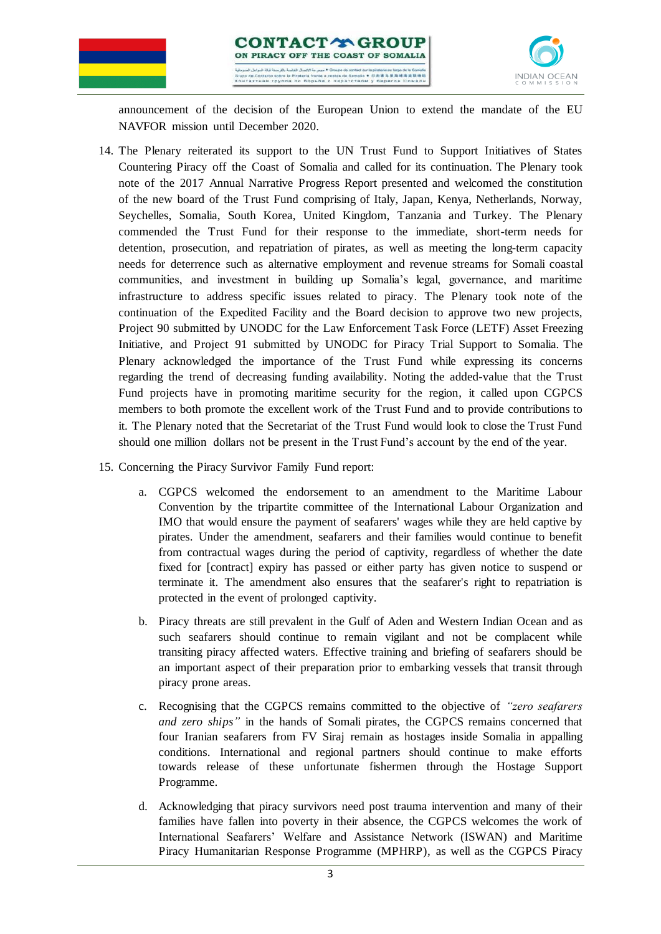





announcement of the decision of the European Union to extend the mandate of the EU NAVFOR mission until December 2020.

- 14. The Plenary reiterated its support to the UN Trust Fund to Support Initiatives of States Countering Piracy off the Coast of Somalia and called for its continuation. The Plenary took note of the 2017 Annual Narrative Progress Report presented and welcomed the constitution of the new board of the Trust Fund comprising of Italy, Japan, Kenya, Netherlands, Norway, Seychelles, Somalia, South Korea, United Kingdom, Tanzania and Turkey. The Plenary commended the Trust Fund for their response to the immediate, short-term needs for detention, prosecution, and repatriation of pirates, as well as meeting the long-term capacity needs for deterrence such as alternative employment and revenue streams for Somali coastal communities, and investment in building up Somalia's legal, governance, and maritime infrastructure to address specific issues related to piracy. The Plenary took note of the continuation of the Expedited Facility and the Board decision to approve two new projects, Project 90 submitted by UNODC for the Law Enforcement Task Force (LETF) Asset Freezing Initiative, and Project 91 submitted by UNODC for Piracy Trial Support to Somalia. The Plenary acknowledged the importance of the Trust Fund while expressing its concerns regarding the trend of decreasing funding availability. Noting the added-value that the Trust Fund projects have in promoting maritime security for the region, it called upon CGPCS members to both promote the excellent work of the Trust Fund and to provide contributions to it. The Plenary noted that the Secretariat of the Trust Fund would look to close the Trust Fund should one million dollars not be present in the Trust Fund's account by the end of the year.
- 15. Concerning the Piracy Survivor Family Fund report:
	- a. CGPCS welcomed the endorsement to an amendment to the Maritime Labour Convention by the tripartite committee of the International Labour Organization and IMO that would ensure the payment of seafarers' wages while they are held captive by pirates. Under the amendment, seafarers and their families would continue to benefit from contractual wages during the period of captivity, regardless of whether the date fixed for [contract] expiry has passed or either party has given notice to suspend or terminate it. The amendment also ensures that the seafarer's right to repatriation is protected in the event of prolonged captivity.
	- b. Piracy threats are still prevalent in the Gulf of Aden and Western Indian Ocean and as such seafarers should continue to remain vigilant and not be complacent while transiting piracy affected waters. Effective training and briefing of seafarers should be an important aspect of their preparation prior to embarking vessels that transit through piracy prone areas.
	- c. Recognising that the CGPCS remains committed to the objective of *"zero seafarers and zero ships"* in the hands of Somali pirates, the CGPCS remains concerned that four Iranian seafarers from FV Siraj remain as hostages inside Somalia in appalling conditions. International and regional partners should continue to make efforts towards release of these unfortunate fishermen through the Hostage Support Programme.
	- d. Acknowledging that piracy survivors need post trauma intervention and many of their families have fallen into poverty in their absence, the CGPCS welcomes the work of International Seafarers' Welfare and Assistance Network (ISWAN) and Maritime Piracy Humanitarian Response Programme (MPHRP), as well as the CGPCS Piracy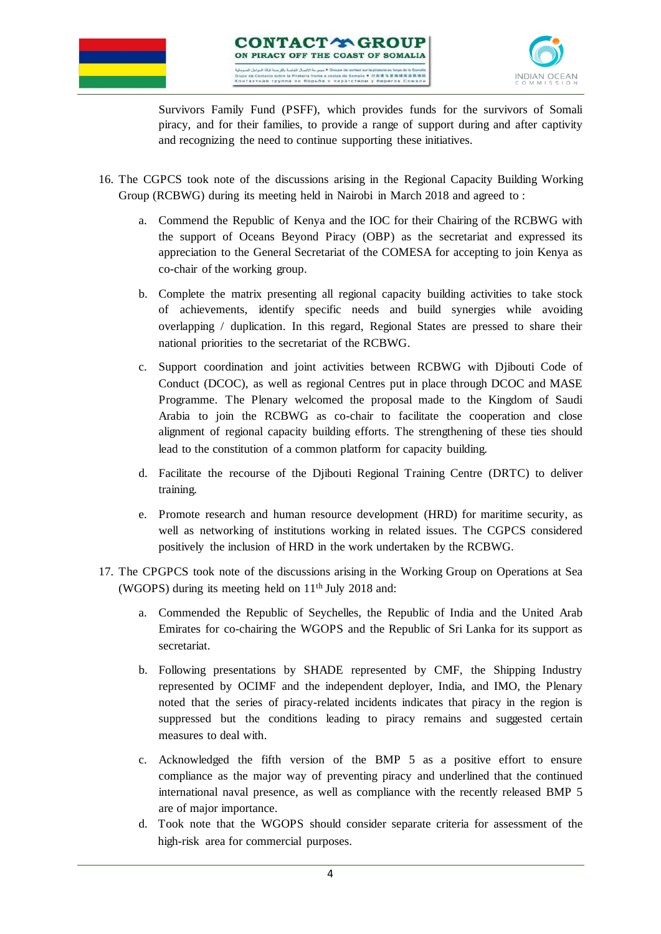

Survivors Family Fund (PSFF), which provides funds for the survivors of Somali piracy, and for their families, to provide a range of support during and after captivity and recognizing the need to continue supporting these initiatives.

- 16. The CGPCS took note of the discussions arising in the Regional Capacity Building Working Group (RCBWG) during its meeting held in Nairobi in March 2018 and agreed to :
	- a. Commend the Republic of Kenya and the IOC for their Chairing of the RCBWG with the support of Oceans Beyond Piracy (OBP) as the secretariat and expressed its appreciation to the General Secretariat of the COMESA for accepting to join Kenya as co-chair of the working group.
	- b. Complete the matrix presenting all regional capacity building activities to take stock of achievements, identify specific needs and build synergies while avoiding overlapping / duplication. In this regard, Regional States are pressed to share their national priorities to the secretariat of the RCBWG.
	- c. Support coordination and joint activities between RCBWG with Djibouti Code of Conduct (DCOC), as well as regional Centres put in place through DCOC and MASE Programme. The Plenary welcomed the proposal made to the Kingdom of Saudi Arabia to join the RCBWG as co-chair to facilitate the cooperation and close alignment of regional capacity building efforts. The strengthening of these ties should lead to the constitution of a common platform for capacity building.
	- d. Facilitate the recourse of the Djibouti Regional Training Centre (DRTC) to deliver training.
	- e. Promote research and human resource development (HRD) for maritime security, as well as networking of institutions working in related issues. The CGPCS considered positively the inclusion of HRD in the work undertaken by the RCBWG.
- 17. The CPGPCS took note of the discussions arising in the Working Group on Operations at Sea (WGOPS) during its meeting held on 11th July 2018 and:
	- a. Commended the Republic of Seychelles, the Republic of India and the United Arab Emirates for co-chairing the WGOPS and the Republic of Sri Lanka for its support as secretariat.
	- b. Following presentations by SHADE represented by CMF, the Shipping Industry represented by OCIMF and the independent deployer, India, and IMO, the Plenary noted that the series of piracy-related incidents indicates that piracy in the region is suppressed but the conditions leading to piracy remains and suggested certain measures to deal with.
	- c. Acknowledged the fifth version of the BMP 5 as a positive effort to ensure compliance as the major way of preventing piracy and underlined that the continued international naval presence, as well as compliance with the recently released BMP 5 are of major importance.
	- d. Took note that the WGOPS should consider separate criteria for assessment of the high-risk area for commercial purposes.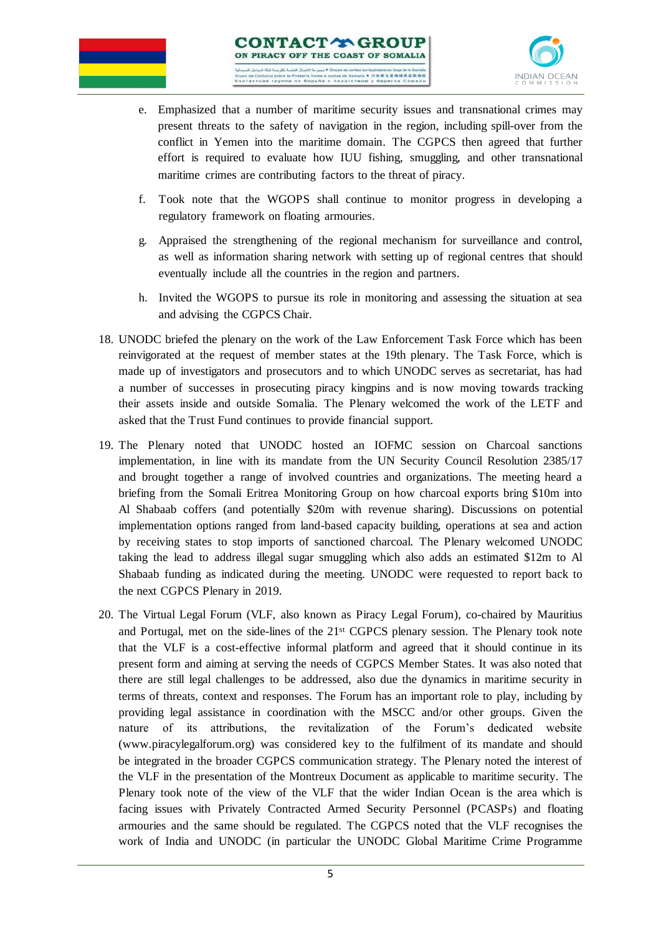

- e. Emphasized that a number of maritime security issues and transnational crimes may present threats to the safety of navigation in the region, including spill-over from the conflict in Yemen into the maritime domain. The CGPCS then agreed that further effort is required to evaluate how IUU fishing, smuggling, and other transnational maritime crimes are contributing factors to the threat of piracy.
- f. Took note that the WGOPS shall continue to monitor progress in developing a regulatory framework on floating armouries.
- g. Appraised the strengthening of the regional mechanism for surveillance and control, as well as information sharing network with setting up of regional centres that should eventually include all the countries in the region and partners.
- h. Invited the WGOPS to pursue its role in monitoring and assessing the situation at sea and advising the CGPCS Chair.
- 18. UNODC briefed the plenary on the work of the Law Enforcement Task Force which has been reinvigorated at the request of member states at the 19th plenary. The Task Force, which is made up of investigators and prosecutors and to which UNODC serves as secretariat, has had a number of successes in prosecuting piracy kingpins and is now moving towards tracking their assets inside and outside Somalia. The Plenary welcomed the work of the LETF and asked that the Trust Fund continues to provide financial support.
- 19. The Plenary noted that UNODC hosted an IOFMC session on Charcoal sanctions implementation, in line with its mandate from the UN Security Council Resolution 2385/17 and brought together a range of involved countries and organizations. The meeting heard a briefing from the Somali Eritrea Monitoring Group on how charcoal exports bring \$10m into Al Shabaab coffers (and potentially \$20m with revenue sharing). Discussions on potential implementation options ranged from land-based capacity building, operations at sea and action by receiving states to stop imports of sanctioned charcoal. The Plenary welcomed UNODC taking the lead to address illegal sugar smuggling which also adds an estimated \$12m to Al Shabaab funding as indicated during the meeting. UNODC were requested to report back to the next CGPCS Plenary in 2019.
- 20. The Virtual Legal Forum (VLF, also known as Piracy Legal Forum), co-chaired by Mauritius and Portugal, met on the side-lines of the 21st CGPCS plenary session. The Plenary took note that the VLF is a cost-effective informal platform and agreed that it should continue in its present form and aiming at serving the needs of CGPCS Member States. It was also noted that there are still legal challenges to be addressed, also due the dynamics in maritime security in terms of threats, context and responses. The Forum has an important role to play, including by providing legal assistance in coordination with the MSCC and/or other groups. Given the nature of its attributions, the revitalization of the Forum's dedicated website (www.piracylegalforum.org) was considered key to the fulfilment of its mandate and should be integrated in the broader CGPCS communication strategy. The Plenary noted the interest of the VLF in the presentation of the Montreux Document as applicable to maritime security. The Plenary took note of the view of the VLF that the wider Indian Ocean is the area which is facing issues with Privately Contracted Armed Security Personnel (PCASPs) and floating armouries and the same should be regulated. The CGPCS noted that the VLF recognises the work of India and UNODC (in particular the UNODC Global Maritime Crime Programme